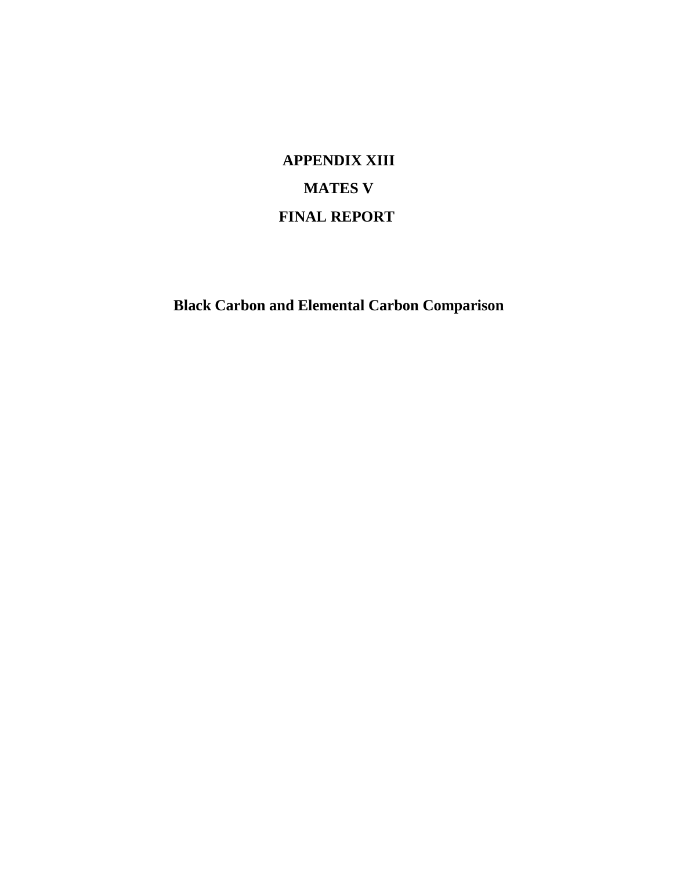**APPENDIX XIII MATES V FINAL REPORT**

**Black Carbon and Elemental Carbon Comparison**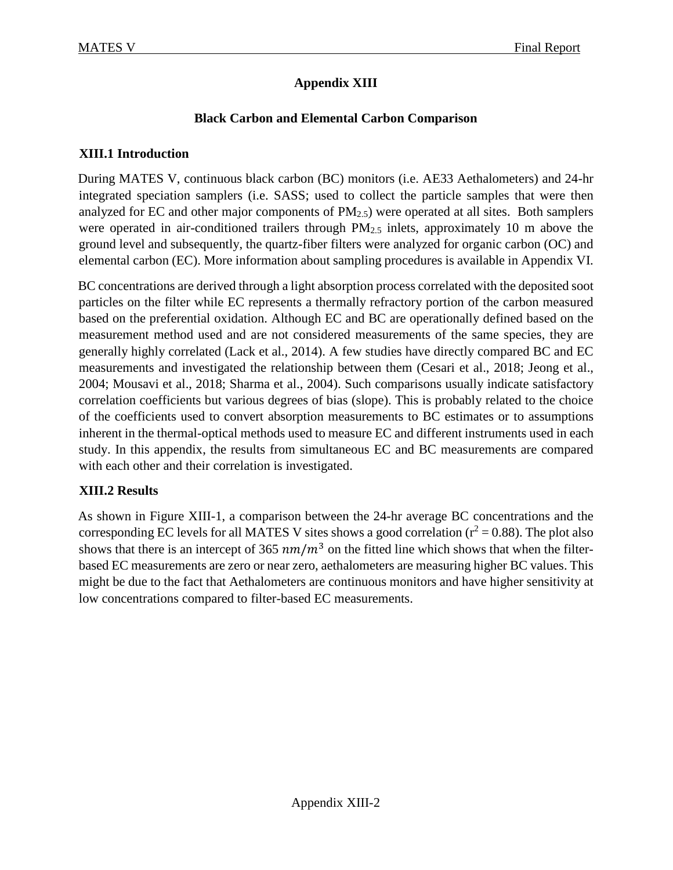# **Appendix XIII**

### **Black Carbon and Elemental Carbon Comparison**

### **XIII.1 Introduction**

During MATES V, continuous black carbon (BC) monitors (i.e. AE33 Aethalometers) and 24-hr integrated speciation samplers (i.e. SASS; used to collect the particle samples that were then analyzed for EC and other major components of  $PM_{2.5}$ ) were operated at all sites. Both samplers were operated in air-conditioned trailers through PM<sub>2.5</sub> inlets, approximately 10 m above the ground level and subsequently, the quartz-fiber filters were analyzed for organic carbon (OC) and elemental carbon (EC). More information about sampling procedures is available in Appendix VI.

BC concentrations are derived through a light absorption process correlated with the deposited soot particles on the filter while EC represents a thermally refractory portion of the carbon measured based on the preferential oxidation. Although EC and BC are operationally defined based on the measurement method used and are not considered measurements of the same species, they are generally highly correlated (Lack et al., 2014). A few studies have directly compared BC and EC measurements and investigated the relationship between them (Cesari et al., 2018; Jeong et al., 2004; Mousavi et al., 2018; Sharma et al., 2004). Such comparisons usually indicate satisfactory correlation coefficients but various degrees of bias (slope). This is probably related to the choice of the coefficients used to convert absorption measurements to BC estimates or to assumptions inherent in the thermal-optical methods used to measure EC and different instruments used in each study. In this appendix, the results from simultaneous EC and BC measurements are compared with each other and their correlation is investigated.

#### **XIII.2 Results**

As shown in Figure XIII-1, a comparison between the 24-hr average BC concentrations and the corresponding EC levels for all MATES V sites shows a good correlation ( $r^2 = 0.88$ ). The plot also shows that there is an intercept of 365  $nm/m<sup>3</sup>$  on the fitted line which shows that when the filterbased EC measurements are zero or near zero, aethalometers are measuring higher BC values. This might be due to the fact that Aethalometers are continuous monitors and have higher sensitivity at low concentrations compared to filter-based EC measurements.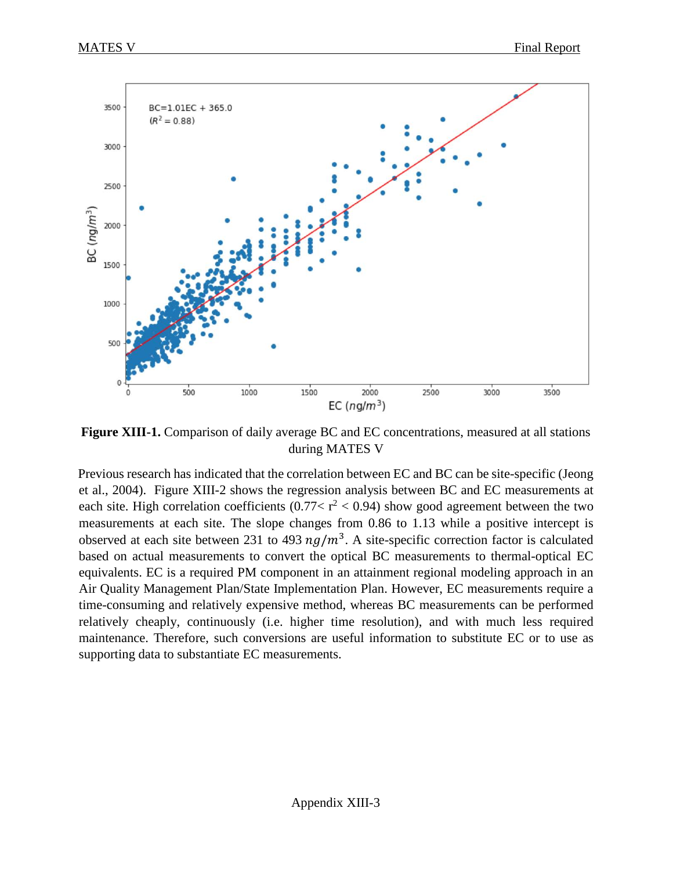

**Figure XIII-1.** Comparison of daily average BC and EC concentrations, measured at all stations during MATES V

Previous research has indicated that the correlation between EC and BC can be site-specific (Jeong et al., 2004). Figure XIII-2 shows the regression analysis between BC and EC measurements at each site. High correlation coefficients (0.77 <  $r^2$  < 0.94) show good agreement between the two measurements at each site. The slope changes from 0.86 to 1.13 while a positive intercept is observed at each site between 231 to 493  $ng/m<sup>3</sup>$ . A site-specific correction factor is calculated based on actual measurements to convert the optical BC measurements to thermal-optical EC equivalents. EC is a required PM component in an attainment regional modeling approach in an Air Quality Management Plan/State Implementation Plan. However, EC measurements require a time-consuming and relatively expensive method, whereas BC measurements can be performed relatively cheaply, continuously (i.e. higher time resolution), and with much less required maintenance. Therefore, such conversions are useful information to substitute EC or to use as supporting data to substantiate EC measurements.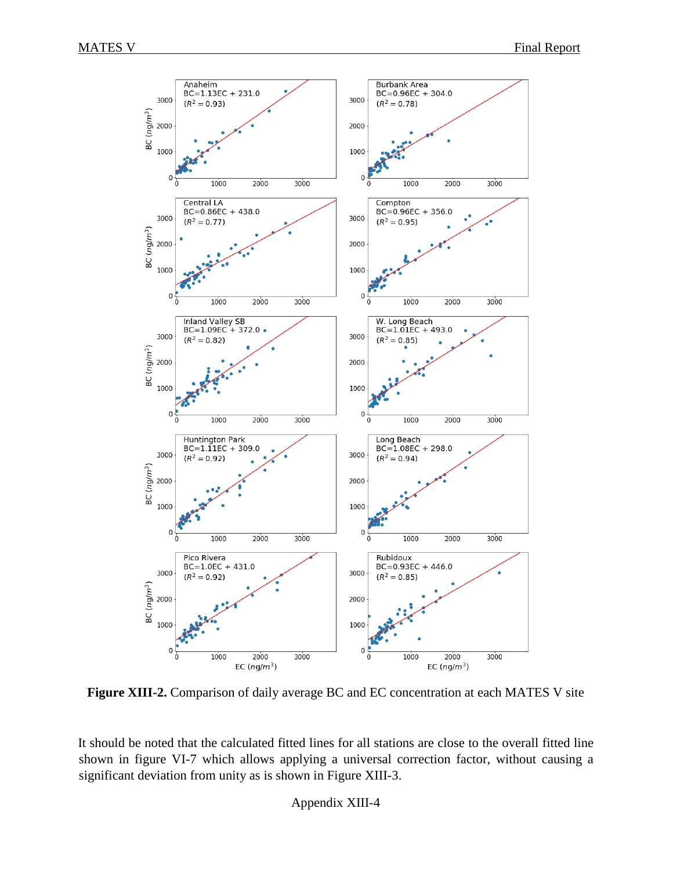

**Figure XIII-2.** Comparison of daily average BC and EC concentration at each MATES V site

It should be noted that the calculated fitted lines for all stations are close to the overall fitted line shown in figure VI-7 which allows applying a universal correction factor, without causing a significant deviation from unity as is shown in Figure XIII-3.

Appendix XIII-4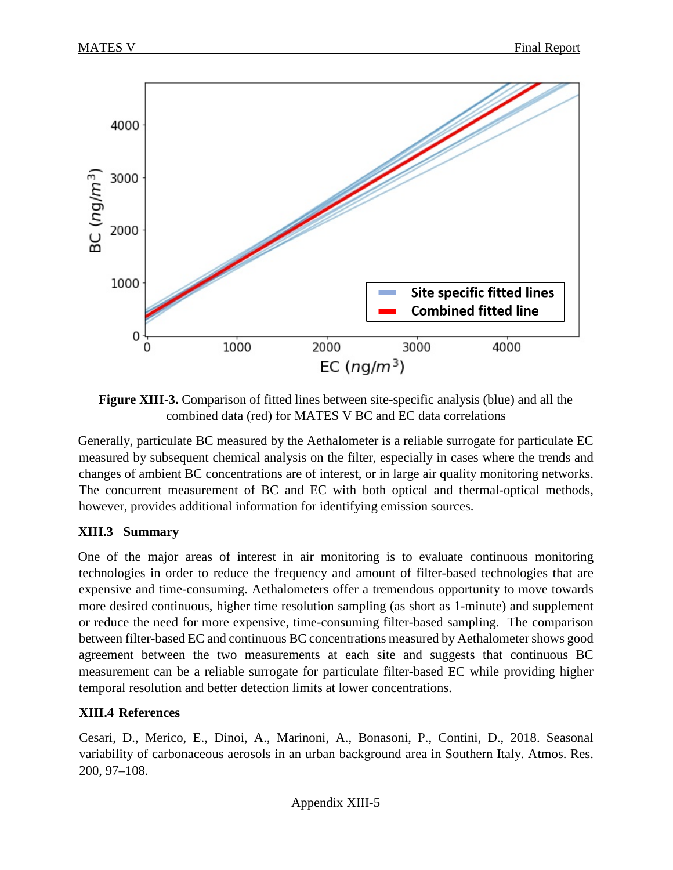

**Figure XIII-3.** Comparison of fitted lines between site-specific analysis (blue) and all the combined data (red) for MATES V BC and EC data correlations

Generally, particulate BC measured by the Aethalometer is a reliable surrogate for particulate EC measured by subsequent chemical analysis on the filter, especially in cases where the trends and changes of ambient BC concentrations are of interest, or in large air quality monitoring networks. The concurrent measurement of BC and EC with both optical and thermal-optical methods, however, provides additional information for identifying emission sources.

## **XIII.3 Summary**

One of the major areas of interest in air monitoring is to evaluate continuous monitoring technologies in order to reduce the frequency and amount of filter-based technologies that are expensive and time-consuming. Aethalometers offer a tremendous opportunity to move towards more desired continuous, higher time resolution sampling (as short as 1-minute) and supplement or reduce the need for more expensive, time-consuming filter-based sampling. The comparison between filter-based EC and continuous BC concentrations measured by Aethalometer shows good agreement between the two measurements at each site and suggests that continuous BC measurement can be a reliable surrogate for particulate filter-based EC while providing higher temporal resolution and better detection limits at lower concentrations.

## **XIII.4 References**

Cesari, D., Merico, E., Dinoi, A., Marinoni, A., Bonasoni, P., Contini, D., 2018. Seasonal variability of carbonaceous aerosols in an urban background area in Southern Italy. Atmos. Res. 200, 97–108.